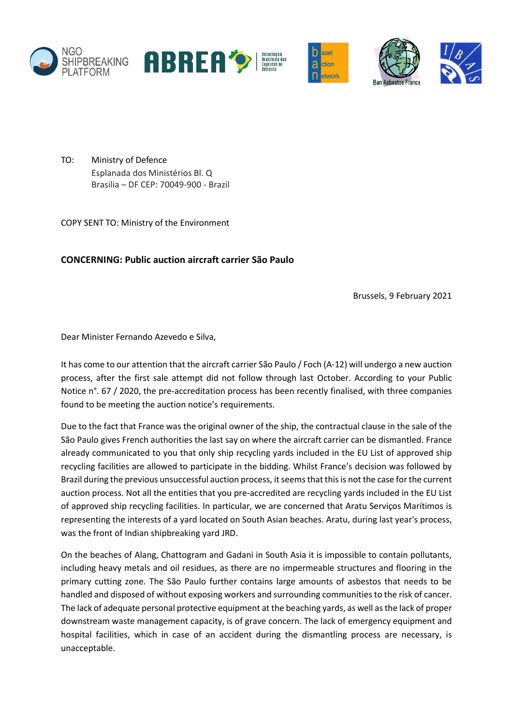









TO: Ministry of Defence Esplanada dos Ministérios Bl. Q Brasilia – DF CEP: 70049-900 - Brazil

COPY SENT TO: Ministry of the Environment

## **CONCERNING: Public auction aircraft carrier São Paulo**

Brussels, 9 February 2021

Dear Minister Fernando Azevedo e Silva,

It has come to our attention that the aircraft carrier São Paulo / Foch (A-12) will undergo a new auction process, after the first sale attempt did not follow through last October. According to your Public Notice n°. 67 / 2020, the pre-accreditation process has been recently finalised, with three companies found to be meeting the auction notice's requirements.

Due to the fact that France was the original owner of the ship, the contractual clause in the sale of the São Paulo gives French authorities the last say on where the aircraft carrier can be dismantled. France already communicated to you that only ship recycling yards included in the EU List of approved ship recycling facilities are allowed to participate in the bidding. Whilst France's decision was followed by Brazil during the previous unsuccessful auction process, it seems that this is not the case for the current auction process. Not all the entities that you pre-accredited are recycling yards included in the EU List of approved ship recycling facilities. In particular, we are concerned that Aratu Serviços Marítimos is representing the interests of a yard located on South Asian beaches. Aratu, during last year's process, was the front of Indian shipbreaking yard JRD.

On the beaches of Alang, Chattogram and Gadani in South Asia it is impossible to contain pollutants, including heavy metals and oil residues, as there are no impermeable structures and flooring in the primary cutting zone. The São Paulo further contains large amounts of asbestos that needs to be handled and disposed of without exposing workers and surrounding communities to the risk of cancer. The lack of adequate personal protective equipment at the beaching yards, as well as the lack of proper downstream waste management capacity, is of grave concern. The lack of emergency equipment and hospital facilities, which in case of an accident during the dismantling process are necessary, is unacceptable.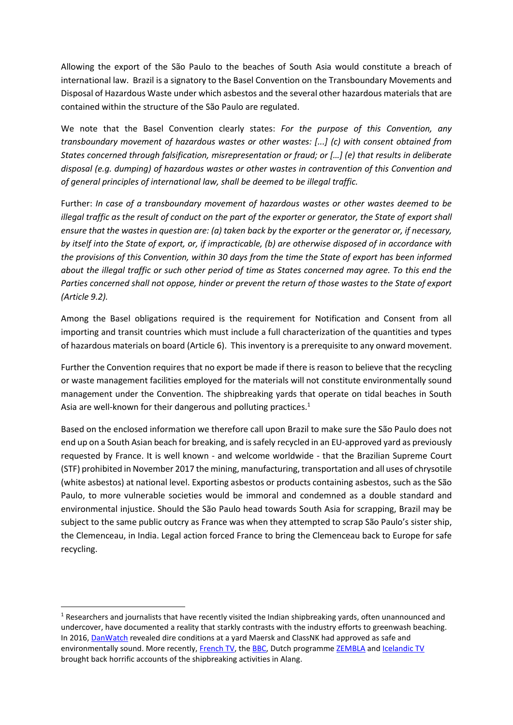Allowing the export of the São Paulo to the beaches of South Asia would constitute a breach of international law. Brazil is a signatory to the Basel Convention on the Transboundary Movements and Disposal of Hazardous Waste under which asbestos and the several other hazardous materials that are contained within the structure of the São Paulo are regulated.

We note that the Basel Convention clearly states: *For the purpose of this Convention, any transboundary movement of hazardous wastes or other wastes: [...] (c) with consent obtained from States concerned through falsification, misrepresentation or fraud; or […] (e) that results in deliberate disposal (e.g. dumping) of hazardous wastes or other wastes in contravention of this Convention and of general principles of international law, shall be deemed to be illegal traffic.* 

Further: *In case of a transboundary movement of hazardous wastes or other wastes deemed to be illegal traffic as the result of conduct on the part of the exporter or generator, the State of export shall ensure that the wastes in question are: (a) taken back by the exporter or the generator or, if necessary, by itself into the State of export, or, if impracticable, (b) are otherwise disposed of in accordance with the provisions of this Convention, within 30 days from the time the State of export has been informed about the illegal traffic or such other period of time as States concerned may agree. To this end the Parties concerned shall not oppose, hinder or prevent the return of those wastes to the State of export (Article 9.2).*

Among the Basel obligations required is the requirement for Notification and Consent from all importing and transit countries which must include a full characterization of the quantities and types of hazardous materials on board (Article 6). This inventory is a prerequisite to any onward movement.

Further the Convention requires that no export be made if there is reason to believe that the recycling or waste management facilities employed for the materials will not constitute environmentally sound management under the Convention. The shipbreaking yards that operate on tidal beaches in South Asia are well-known for their dangerous and polluting practices.<sup>1</sup>

Based on the enclosed information we therefore call upon Brazil to make sure the São Paulo does not end up on a South Asian beach for breaking, and is safely recycled in an EU-approved yard as previously requested by France. It is well known - and welcome worldwide - that the Brazilian Supreme Court (STF) prohibited in November 2017 the mining, manufacturing, transportation and all uses of chrysotile (white asbestos) at national level. Exporting asbestos or products containing asbestos, such as the São Paulo, to more vulnerable societies would be immoral and condemned as a double standard and environmental injustice. Should the São Paulo head towards South Asia for scrapping, Brazil may be subject to the same public outcry as France was when they attempted to scrap São Paulo's sister ship, the Clemenceau, in India. Legal action forced France to bring the Clemenceau back to Europe for safe recycling.

**.** 

 $1$  Researchers and journalists that have recently visited the Indian shipbreaking yards, often unannounced and undercover, have documented a reality that starkly contrasts with the industry efforts to greenwash beaching. In 2016, [DanWatch](https://old.danwatch.dk/en/undersogelse/maersk-and-the-hazardous-waste/) revealed dire conditions at a yard Maersk and ClassNK had approved as safe and environmentally sound. More recently, [French TV,](https://www.francetvinfo.fr/economie/transports/chantiers-navals-de-saint-nazaire/inde-des-chantiers-navals-de-demolition-qui-font-scandale_3505729.html) the [BBC,](https://www.bbc.co.uk/news/extra/ao726ind7u/shipbreaking) Dutch programm[e ZEMBLA](https://www.youtube.com/watch?v=CaxkaxW8uUE&t=9s) and [Icelandic TV](https://www.ruv.is/kveikur/where-ships-go-to-die/) brought back horrific accounts of the shipbreaking activities in Alang.